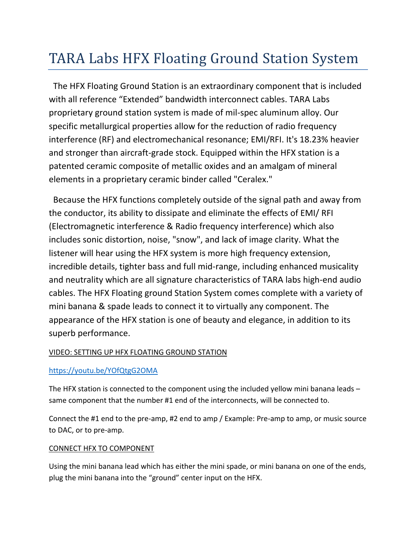# TARA Labs HFX Floating Ground Station System

 The HFX Floating Ground Station is an extraordinary component that is included with all reference "Extended" bandwidth interconnect cables. TARA Labs proprietary ground station system is made of mil-spec aluminum alloy. Our specific metallurgical properties allow for the reduction of radio frequency interference (RF) and electromechanical resonance; EMI/RFI. It's 18.23% heavier and stronger than aircraft-grade stock. Equipped within the HFX station is a patented ceramic composite of metallic oxides and an amalgam of mineral elements in a proprietary ceramic binder called "Ceralex."

 Because the HFX functions completely outside of the signal path and away from the conductor, its ability to dissipate and eliminate the effects of EMI/ RFI (Electromagnetic interference & Radio frequency interference) which also includes sonic distortion, noise, "snow", and lack of image clarity. What the listener will hear using the HFX system is more high frequency extension, incredible details, tighter bass and full mid-range, including enhanced musicality and neutrality which are all signature characteristics of TARA labs high-end audio cables. The HFX Floating ground Station System comes complete with a variety of mini banana & spade leads to connect it to virtually any component. The appearance of the HFX station is one of beauty and elegance, in addition to its superb performance.

## VIDEO: SETTING UP HFX FLOATING GROUND STATION

### <https://youtu.be/YOfQtgG2OMA>

The HFX station is connected to the component using the included yellow mini banana leads – same component that the number #1 end of the interconnects, will be connected to.

Connect the #1 end to the pre-amp, #2 end to amp / Example: Pre-amp to amp, or music source to DAC, or to pre-amp.

### CONNECT HFX TO COMPONENT

Using the mini banana lead which has either the mini spade, or mini banana on one of the ends, plug the mini banana into the "ground" center input on the HFX.